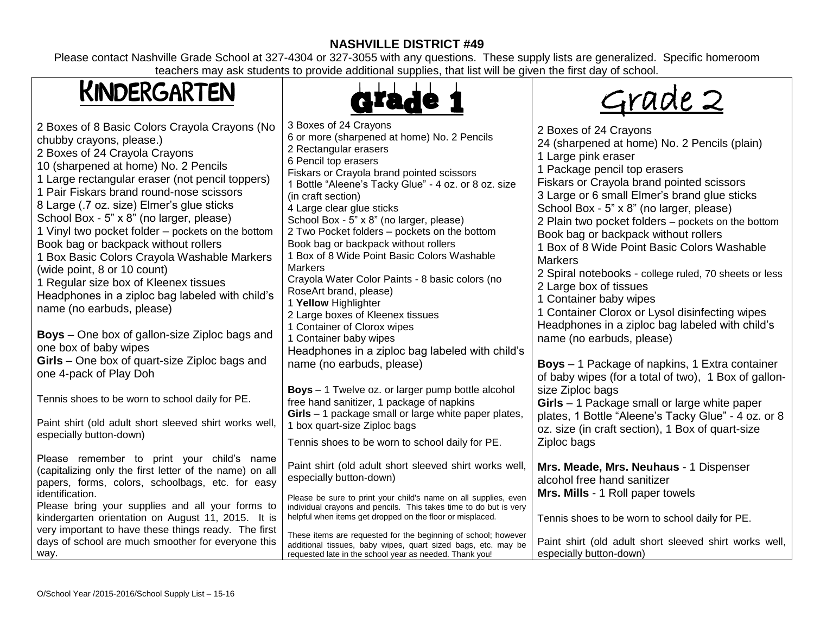# **NASHVILLE DISTRICT #49**

Please contact Nashville Grade School at 327-4304 or 327-3055 with any questions. These supply lists are generalized. Specific homeroom teachers may ask students to provide additional supplies, that list will be given the first day of school.

# KINDERGARTEN



Grade 2

| 2 Boxes of 8 Basic Colors Crayola Crayons (No<br>chubby crayons, please.)<br>2 Boxes of 24 Crayola Crayons<br>10 (sharpened at home) No. 2 Pencils<br>1 Large rectangular eraser (not pencil toppers)<br>1 Pair Fiskars brand round-nose scissors<br>8 Large (.7 oz. size) Elmer's glue sticks<br>School Box - 5" x 8" (no larger, please)<br>1 Vinyl two pocket folder – pockets on the bottom<br>Book bag or backpack without rollers<br>1 Box Basic Colors Crayola Washable Markers<br>(wide point, 8 or 10 count)<br>1 Regular size box of Kleenex tissues<br>Headphones in a ziploc bag labeled with child's<br>name (no earbuds, please)<br><b>Boys</b> – One box of gallon-size Ziploc bags and<br>one box of baby wipes<br>Girls - One box of quart-size Ziploc bags and<br>one 4-pack of Play Doh<br>Tennis shoes to be worn to school daily for PE.<br>Paint shirt (old adult short sleeved shirt works well,<br>especially button-down) | 3 Boxes of 24 Crayons<br>6 or more (sharpened at home) No. 2 Pencils<br>2 Rectangular erasers<br>6 Pencil top erasers<br>Fiskars or Crayola brand pointed scissors<br>1 Bottle "Aleene's Tacky Glue" - 4 oz. or 8 oz. size<br>(in craft section)<br>4 Large clear glue sticks<br>School Box - 5" x 8" (no larger, please)<br>2 Two Pocket folders - pockets on the bottom<br>Book bag or backpack without rollers<br>1 Box of 8 Wide Point Basic Colors Washable<br><b>Markers</b><br>Crayola Water Color Paints - 8 basic colors (no<br>RoseArt brand, please)<br>1 Yellow Highlighter<br>2 Large boxes of Kleenex tissues<br>1 Container of Clorox wipes<br>1 Container baby wipes<br>Headphones in a ziploc bag labeled with child's<br>name (no earbuds, please)<br>Boys - 1 Twelve oz. or larger pump bottle alcohol<br>free hand sanitizer, 1 package of napkins<br>Girls - 1 package small or large white paper plates,<br>1 box quart-size Ziploc bags | 2 Boxes of 24 Crayons<br>24 (sharpened at home) No. 2 Pencils (plain)<br>1 Large pink eraser<br>1 Package pencil top erasers<br>Fiskars or Crayola brand pointed scissors<br>3 Large or 6 small Elmer's brand glue sticks<br>School Box - 5" x 8" (no larger, please)<br>2 Plain two pocket folders – pockets on the bottom<br>Book bag or backpack without rollers<br>1 Box of 8 Wide Point Basic Colors Washable<br><b>Markers</b><br>2 Spiral notebooks - college ruled, 70 sheets or less<br>2 Large box of tissues<br>1 Container baby wipes<br>1 Container Clorox or Lysol disinfecting wipes<br>Headphones in a ziploc bag labeled with child's<br>name (no earbuds, please)<br><b>Boys</b> – 1 Package of napkins, 1 Extra container<br>of baby wipes (for a total of two), 1 Box of gallon-<br>size Ziploc bags<br>Girls - 1 Package small or large white paper<br>plates, 1 Bottle "Aleene's Tacky Glue" - 4 oz. or 8<br>oz. size (in craft section), 1 Box of quart-size |
|----------------------------------------------------------------------------------------------------------------------------------------------------------------------------------------------------------------------------------------------------------------------------------------------------------------------------------------------------------------------------------------------------------------------------------------------------------------------------------------------------------------------------------------------------------------------------------------------------------------------------------------------------------------------------------------------------------------------------------------------------------------------------------------------------------------------------------------------------------------------------------------------------------------------------------------------------|----------------------------------------------------------------------------------------------------------------------------------------------------------------------------------------------------------------------------------------------------------------------------------------------------------------------------------------------------------------------------------------------------------------------------------------------------------------------------------------------------------------------------------------------------------------------------------------------------------------------------------------------------------------------------------------------------------------------------------------------------------------------------------------------------------------------------------------------------------------------------------------------------------------------------------------------------------------|-------------------------------------------------------------------------------------------------------------------------------------------------------------------------------------------------------------------------------------------------------------------------------------------------------------------------------------------------------------------------------------------------------------------------------------------------------------------------------------------------------------------------------------------------------------------------------------------------------------------------------------------------------------------------------------------------------------------------------------------------------------------------------------------------------------------------------------------------------------------------------------------------------------------------------------------------------------------------------------|
|                                                                                                                                                                                                                                                                                                                                                                                                                                                                                                                                                                                                                                                                                                                                                                                                                                                                                                                                                    | Tennis shoes to be worn to school daily for PE.                                                                                                                                                                                                                                                                                                                                                                                                                                                                                                                                                                                                                                                                                                                                                                                                                                                                                                                | Ziploc bags                                                                                                                                                                                                                                                                                                                                                                                                                                                                                                                                                                                                                                                                                                                                                                                                                                                                                                                                                                         |
| Please remember to print your child's name<br>(capitalizing only the first letter of the name) on all<br>papers, forms, colors, schoolbags, etc. for easy<br>identification.<br>Please bring your supplies and all your forms to<br>kindergarten orientation on August 11, 2015. It is<br>very important to have these things ready. The first<br>days of school are much smoother for everyone this<br>way.                                                                                                                                                                                                                                                                                                                                                                                                                                                                                                                                       | Paint shirt (old adult short sleeved shirt works well,<br>especially button-down)<br>Please be sure to print your child's name on all supplies, even<br>individual crayons and pencils. This takes time to do but is very<br>helpful when items get dropped on the floor or misplaced.<br>These items are requested for the beginning of school; however<br>additional tissues, baby wipes, quart sized bags, etc. may be<br>requested late in the school year as needed. Thank you!                                                                                                                                                                                                                                                                                                                                                                                                                                                                           | Mrs. Meade, Mrs. Neuhaus - 1 Dispenser<br>alcohol free hand sanitizer<br>Mrs. Mills - 1 Roll paper towels<br>Tennis shoes to be worn to school daily for PE.<br>Paint shirt (old adult short sleeved shirt works well,<br>especially button-down)                                                                                                                                                                                                                                                                                                                                                                                                                                                                                                                                                                                                                                                                                                                                   |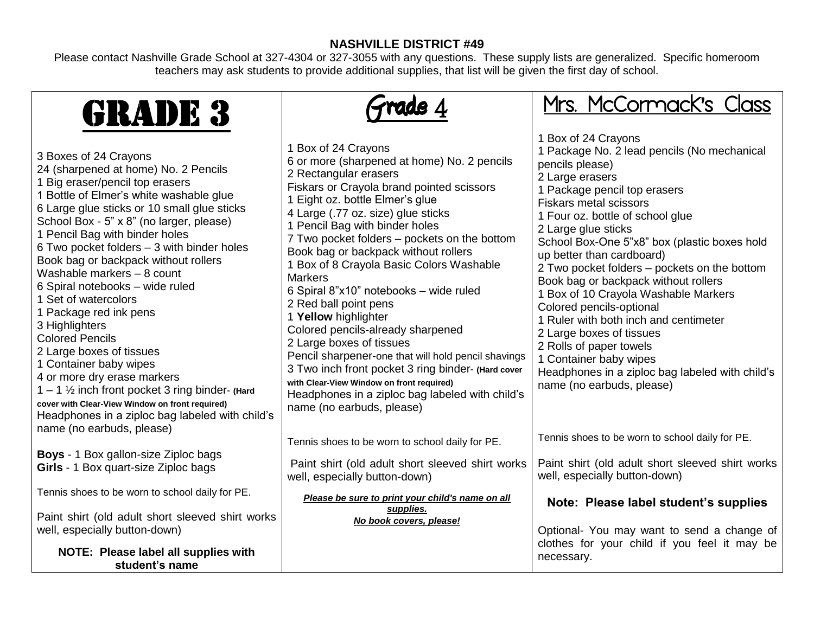## **NASHVILLE DISTRICT #49**

Please contact Nashville Grade School at 327-4304 or 327-3055 with any questions. These supply lists are generalized. Specific homeroom teachers may ask students to provide additional supplies, that list will be given the first day of school.

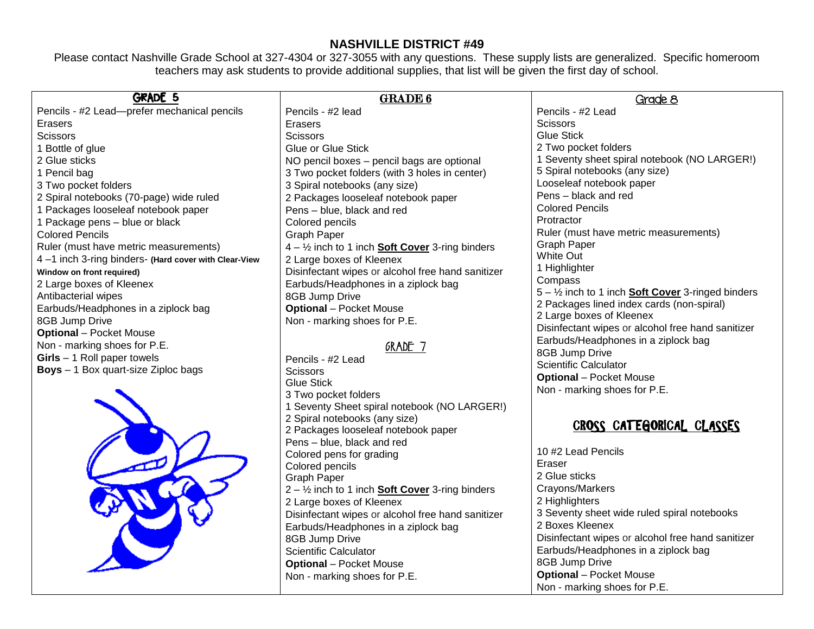### **NASHVILLE DISTRICT #49**

Please contact Nashville Grade School at 327-4304 or 327-3055 with any questions. These supply lists are generalized. Specific homeroom teachers may ask students to provide additional supplies, that list will be given the first day of school.

| <b>GRADE 5</b>                                       | <b>GRADE 6</b>                                                    | Grade 8                                                             |
|------------------------------------------------------|-------------------------------------------------------------------|---------------------------------------------------------------------|
| Pencils - #2 Lead-prefer mechanical pencils          | Pencils - #2 lead                                                 | Pencils - #2 Lead                                                   |
| Erasers                                              | Erasers                                                           | <b>Scissors</b>                                                     |
| <b>Scissors</b>                                      | <b>Scissors</b>                                                   | <b>Glue Stick</b>                                                   |
| Bottle of glue                                       | Glue or Glue Stick                                                | 2 Two pocket folders                                                |
| 2 Glue sticks                                        | NO pencil boxes - pencil bags are optional                        | 1 Seventy sheet spiral notebook (NO LARGER!)                        |
| 1 Pencil bag                                         | 3 Two pocket folders (with 3 holes in center)                     | 5 Spiral notebooks (any size)                                       |
| 3 Two pocket folders                                 | 3 Spiral notebooks (any size)                                     | Looseleaf notebook paper                                            |
| 2 Spiral notebooks (70-page) wide ruled              | 2 Packages looseleaf notebook paper                               | Pens - black and red                                                |
| Packages looseleaf notebook paper                    | Pens - blue, black and red                                        | <b>Colored Pencils</b>                                              |
| Package pens - blue or black                         | Colored pencils                                                   | Protractor                                                          |
| <b>Colored Pencils</b>                               | Graph Paper                                                       | Ruler (must have metric measurements)                               |
| Ruler (must have metric measurements)                | $4 - \frac{1}{2}$ inch to 1 inch <b>Soft Cover</b> 3-ring binders | <b>Graph Paper</b>                                                  |
| 4-1 inch 3-ring binders- (Hard cover with Clear-View | 2 Large boxes of Kleenex                                          | White Out                                                           |
| Window on front required)                            | Disinfectant wipes or alcohol free hand sanitizer                 | 1 Highlighter                                                       |
| 2 Large boxes of Kleenex                             | Earbuds/Headphones in a ziplock bag                               | Compass                                                             |
| Antibacterial wipes                                  | 8GB Jump Drive                                                    | $5 - \frac{1}{2}$ inch to 1 inch <b>Soft Cover</b> 3-ringed binders |
| Earbuds/Headphones in a ziplock bag                  | <b>Optional</b> - Pocket Mouse                                    | 2 Packages lined index cards (non-spiral)                           |
| 8GB Jump Drive                                       | Non - marking shoes for P.E.                                      | 2 Large boxes of Kleenex                                            |
| <b>Optional</b> – Pocket Mouse                       |                                                                   | Disinfectant wipes or alcohol free hand sanitizer                   |
| Non - marking shoes for P.E.                         | GRADE 7                                                           | Earbuds/Headphones in a ziplock bag                                 |
| $Girls - 1$ Roll paper towels                        | Pencils - #2 Lead                                                 | 8GB Jump Drive                                                      |
| <b>Boys</b> - 1 Box quart-size Ziploc bags           | <b>Scissors</b>                                                   | <b>Scientific Calculator</b>                                        |
|                                                      | <b>Glue Stick</b>                                                 | <b>Optional</b> - Pocket Mouse                                      |
|                                                      | 3 Two pocket folders                                              | Non - marking shoes for P.E.                                        |
|                                                      | 1 Seventy Sheet spiral notebook (NO LARGER!)                      |                                                                     |
|                                                      | 2 Spiral notebooks (any size)                                     |                                                                     |
|                                                      | 2 Packages looseleaf notebook paper                               | CROSS CATEGORICAL CLASSES                                           |
|                                                      | Pens - blue, black and red                                        |                                                                     |
|                                                      | Colored pens for grading                                          | 10 #2 Lead Pencils                                                  |
|                                                      | Colored pencils                                                   | Eraser                                                              |
|                                                      | Graph Paper                                                       | 2 Glue sticks                                                       |
|                                                      | $2 - \frac{1}{2}$ inch to 1 inch <b>Soft Cover</b> 3-ring binders | Crayons/Markers                                                     |
|                                                      | 2 Large boxes of Kleenex                                          | 2 Highlighters                                                      |

Disinfectant wipes or alcohol free hand sanitizer

3 Seventy sheet wide ruled spiral notebooks

Earbuds/Headphones in a ziplock bag

Disinfectant wipes or alcohol free hand sanitizer

2 Boxes Kleenex

8GB Jump Drive

**Optional** – Pocket Mouse Non - marking shoes for P.E.

Earbuds/Headphones in a ziplock bag

8GB Jump Drive Scientific Calculator **Optional** – Pocket Mouse Non - marking shoes for P.E.

CHANGE CO